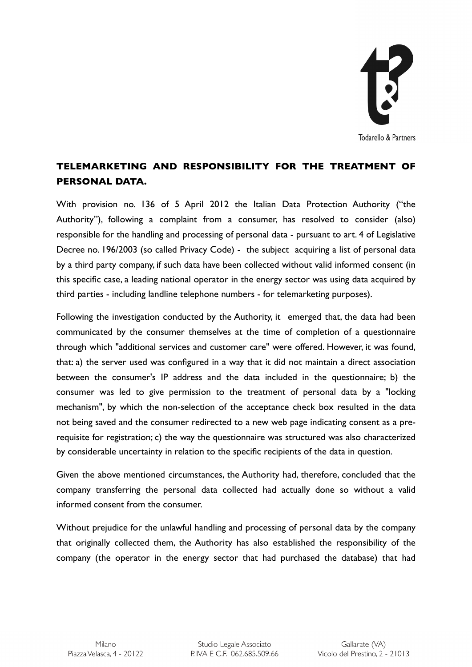

## **TELEMARKETING AND RESPONSIBILITY FOR THE TREATMENT OF PERSONAL DATA.**

With provision no. 136 of 5 April 2012 the Italian Data Protection Authority ("the Authority"), following a complaint from a consumer, has resolved to consider (also) responsible for the handling and processing of personal data - pursuant to art. 4 of Legislative Decree no. 196/2003 (so called Privacy Code) - the subject acquiring a list of personal data by a third party company, if such data have been collected without valid informed consent (in this specific case, a leading national operator in the energy sector was using data acquired by third parties - including landline telephone numbers - for telemarketing purposes).

Following the investigation conducted by the Authority, it emerged that, the data had been communicated by the consumer themselves at the time of completion of a questionnaire through which "additional services and customer care" were offered. However, it was found, that: a) the server used was configured in a way that it did not maintain a direct association between the consumer's IP address and the data included in the questionnaire; b) the consumer was led to give permission to the treatment of personal data by a "locking mechanism", by which the non-selection of the acceptance check box resulted in the data not being saved and the consumer redirected to a new web page indicating consent as a prerequisite for registration; c) the way the questionnaire was structured was also characterized by considerable uncertainty in relation to the specific recipients of the data in question.

Given the above mentioned circumstances, the Authority had, therefore, concluded that the company transferring the personal data collected had actually done so without a valid informed consent from the consumer.

Without prejudice for the unlawful handling and processing of personal data by the company that originally collected them, the Authority has also established the responsibility of the company (the operator in the energy sector that had purchased the database) that had